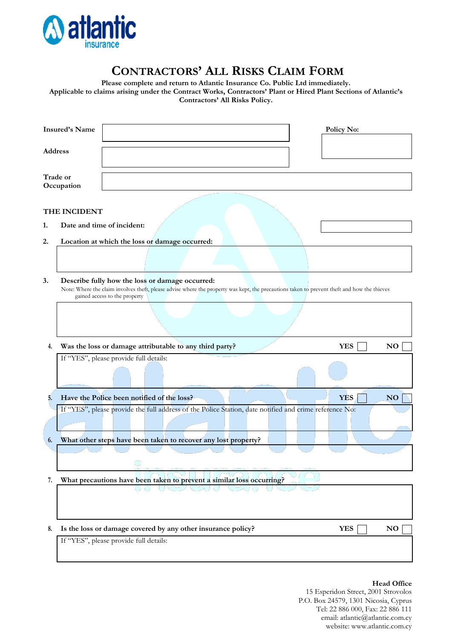

# **CONTRACTORS' ALL RISKS CLAIM FORM**

**Please complete and return to Atlantic Insurance Co. Public Ltd immediately.**

**Applicable to claims arising under the Contract Works, Contractors' Plant or Hired Plant Sections of Atlantic's Contractors' All Risks Policy.**

| <b>Insured's Name</b>  |                                                                       |                                                                                                                                                                                                                                 |  | Policy No: |                |  |  |
|------------------------|-----------------------------------------------------------------------|---------------------------------------------------------------------------------------------------------------------------------------------------------------------------------------------------------------------------------|--|------------|----------------|--|--|
| <b>Address</b>         |                                                                       |                                                                                                                                                                                                                                 |  |            |                |  |  |
| Trade or<br>Occupation |                                                                       |                                                                                                                                                                                                                                 |  |            |                |  |  |
|                        | THE INCIDENT                                                          |                                                                                                                                                                                                                                 |  |            |                |  |  |
| 1.                     |                                                                       | Date and time of incident:                                                                                                                                                                                                      |  |            |                |  |  |
| 2.                     | Location at which the loss or damage occurred:                        |                                                                                                                                                                                                                                 |  |            |                |  |  |
|                        |                                                                       |                                                                                                                                                                                                                                 |  |            |                |  |  |
| 3.                     |                                                                       | Describe fully how the loss or damage occurred:<br>Note: Where the claim involves theft, please advise where the property was kept, the precautions taken to prevent theft and how the thieves<br>gained access to the property |  |            |                |  |  |
|                        |                                                                       |                                                                                                                                                                                                                                 |  |            |                |  |  |
| 4.                     |                                                                       | Was the loss or damage attributable to any third party?                                                                                                                                                                         |  | <b>YES</b> | <b>NO</b>      |  |  |
|                        |                                                                       | If "YES", please provide full details:                                                                                                                                                                                          |  |            |                |  |  |
|                        |                                                                       |                                                                                                                                                                                                                                 |  |            |                |  |  |
| 5.                     |                                                                       | Have the Police been notified of the loss?                                                                                                                                                                                      |  | <b>YES</b> | <b>NO</b>      |  |  |
|                        |                                                                       | If "YES", please provide the full address of the Police Station, date notified and crime reference No:                                                                                                                          |  |            |                |  |  |
| 6.                     |                                                                       | What other steps have been taken to recover any lost property?                                                                                                                                                                  |  |            |                |  |  |
|                        |                                                                       |                                                                                                                                                                                                                                 |  |            |                |  |  |
| 7.                     | What precautions have been taken to prevent a similar loss occurring? |                                                                                                                                                                                                                                 |  |            |                |  |  |
|                        |                                                                       |                                                                                                                                                                                                                                 |  |            |                |  |  |
| 8.                     |                                                                       | Is the loss or damage covered by any other insurance policy?                                                                                                                                                                    |  | <b>YES</b> | N <sub>O</sub> |  |  |
|                        |                                                                       | If "YES", please provide full details:                                                                                                                                                                                          |  |            |                |  |  |

# **Head Office**

15 Esperidon Street, 2001 Strovolos P.O. Box 24579, 1301 Nicosia, Cyprus Tel: 22 886 000, Fax: 22 886 111 email: atlantic@atlantic.com.cy website: www.atlantic.com.cy